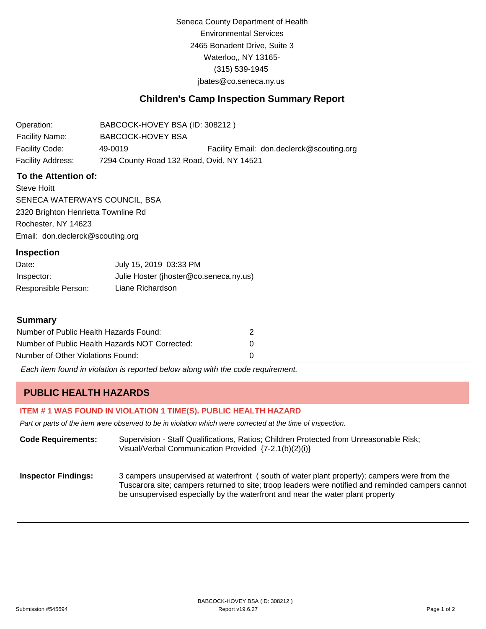Seneca County Department of Health Environmental Services 2465 Bonadent Drive, Suite 3 Waterloo,, NY 13165- (315) 539-1945 [jbates@co.seneca.ny.us](mailto:jbates@co.seneca.ny.us)

### **Children's Camp Inspection Summary Report**

Operation: Facility Name: BABCOCK-HOVEY BSA (ID: 308212 ) BABCOCK-HOVEY BSA Facility Code: 49-0019 Facility Email: [don.declerck@scouting.org](mailto:don.declerck@scouting.org) Facility Address: 7294 County Road 132 Road, Ovid, NY 14521

#### **To the Attention of:**

Steve Hoitt SENECA WATERWAYS COUNCIL, BSA 2320 Brighton Henrietta Townline Rd Rochester, NY 14623 [Email: don.declerck@scouting.org](mailto:don.declerck@scouting.org)

#### **Inspection**

| Date:               | July 15, 2019 03:33 PM                 |
|---------------------|----------------------------------------|
| Inspector:          | Julie Hoster (jhoster@co.seneca.ny.us) |
| Responsible Person: | Liane Richardson                       |

#### **Summary**

| Number of Public Health Hazards Found:         |          |
|------------------------------------------------|----------|
| Number of Public Health Hazards NOT Corrected: | $\theta$ |
| Number of Other Violations Found:              |          |

*Each item found in violation is reported below along with the code requirement.*

# **PUBLIC HEALTH HAZARDS**

#### **ITEM # 1 WAS FOUND IN VIOLATION 1 TIME(S). PUBLIC HEALTH HAZARD**

*Part or parts of the item were observed to be in violation which were corrected at the time of inspection.*

**Code Requirements:** Supervision - Staff Qualifications, Ratios; Children Protected from Unreasonable Risk; Visual/Verbal Communication Provided {7-2.1(b)(2)(i)}

**Inspector Findings:** 3 campers unsupervised at waterfront ( south of water plant property); campers were from the Tuscarora site; campers returned to site; troop leaders were notified and reminded campers cannot be unsupervised especially by the waterfront and near the water plant property